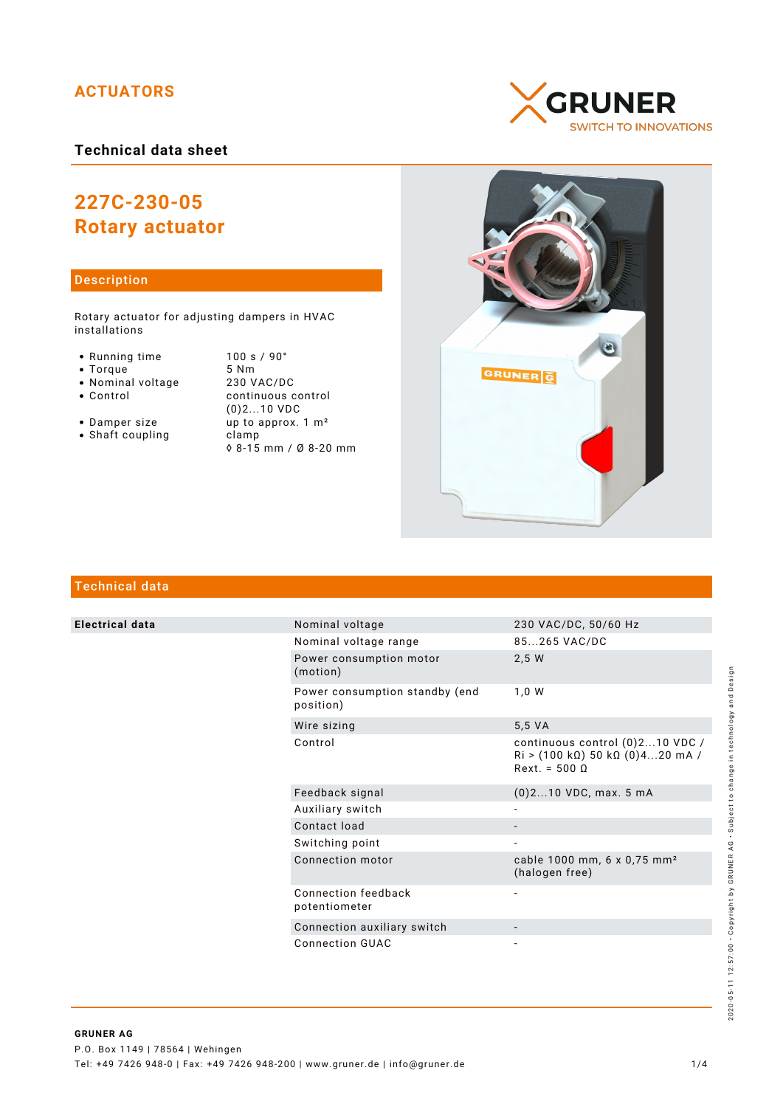# **ACTUATORS**

# **Technical data sheet**

# **227C-230-05 Rotary actuator**

## Description

Rotary actuator for adjusting dampers in HVAC installations

- Running time 100 s / 90°<br>• Torque 5 Nm
- 
- Nominal voltage<br>• Control
- 

• Torque 5 Nm<br>• Nominal voltage 230 VAC/DC continuous control (0)2...10 VDC • Damper size up to approx. 1 m<sup>2</sup>

- Shaft coupling clamp
- ◊ 8-15 mm / Ø 8-20 mm





# Technical data

**Electrical data** 

|  | Nominal voltage                             | 230 VAC/DC, 50/60 Hz                                                                  |
|--|---------------------------------------------|---------------------------------------------------------------------------------------|
|  | Nominal voltage range                       | 85265 VAC/DC                                                                          |
|  | Power consumption motor<br>(motion)         | 2,5 W                                                                                 |
|  | Power consumption standby (end<br>position) | 1,0 W                                                                                 |
|  | Wire sizing                                 | 5,5 VA                                                                                |
|  | Control                                     | continuous control (0)210 VDC /<br>$Ri$ > (100 kΩ) 50 kΩ (0)420 mA /<br>$Rext = 5000$ |
|  | Feedback signal                             | $(0)$ 210 VDC, max. 5 mA                                                              |
|  | Auxiliary switch                            |                                                                                       |
|  | Contact load                                |                                                                                       |
|  | Switching point                             |                                                                                       |
|  | Connection motor                            | cable 1000 mm, 6 x 0,75 mm <sup>2</sup><br>(halogen free)                             |
|  | Connection feedback<br>potentiometer        |                                                                                       |
|  | Connection auxiliary switch                 |                                                                                       |
|  | Connection GUAC                             |                                                                                       |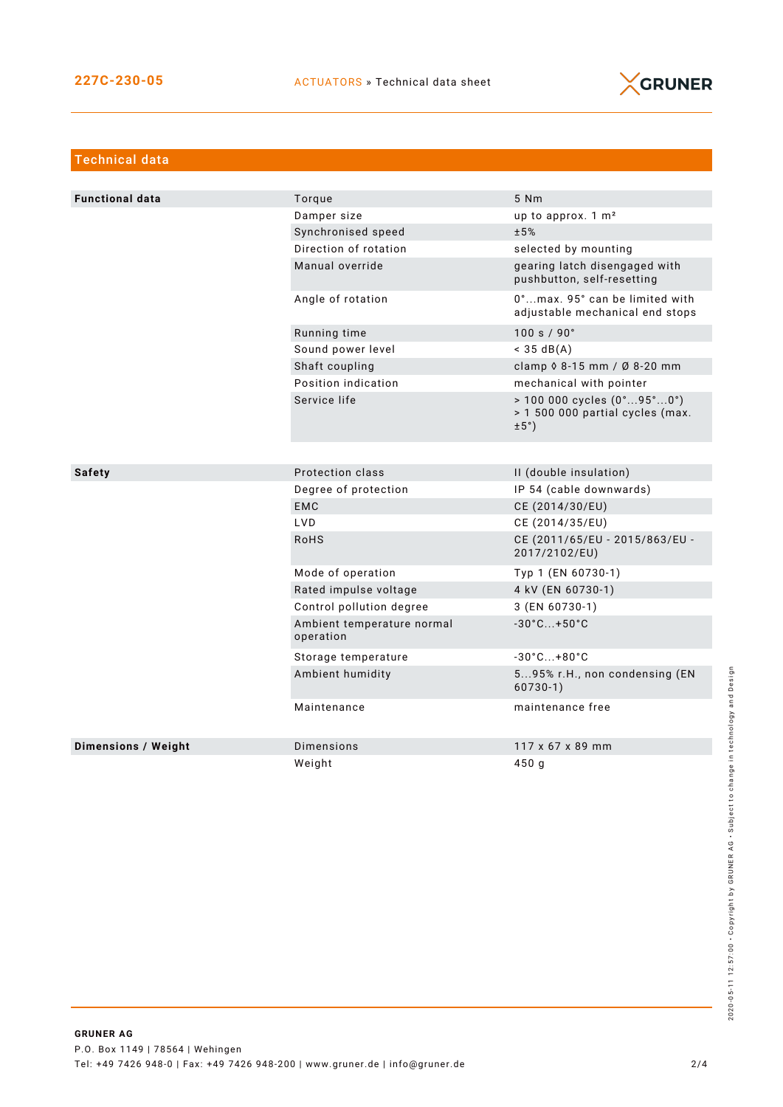

| <b>Technical data</b>      |                                         |                                                                                                             |  |
|----------------------------|-----------------------------------------|-------------------------------------------------------------------------------------------------------------|--|
|                            |                                         |                                                                                                             |  |
| <b>Functional data</b>     | Torque                                  | 5 Nm                                                                                                        |  |
|                            | Damper size                             | up to approx. 1 m <sup>2</sup>                                                                              |  |
|                            | Synchronised speed                      | ±5%                                                                                                         |  |
|                            | Direction of rotation                   | selected by mounting                                                                                        |  |
|                            | Manual override                         | gearing latch disengaged with<br>pushbutton, self-resetting                                                 |  |
|                            | Angle of rotation                       | 0°max. 95° can be limited with<br>adjustable mechanical end stops                                           |  |
|                            | Running time                            | 100 s / 90°                                                                                                 |  |
|                            | Sound power level                       | $<$ 35 dB(A)                                                                                                |  |
|                            | Shaft coupling                          | clamp 0 8-15 mm / Ø 8-20 mm                                                                                 |  |
|                            | Position indication                     | mechanical with pointer                                                                                     |  |
|                            | Service life                            | $> 100000$ cycles $(0^{\circ}95^{\circ}0^{\circ})$<br>> 1 500 000 partial cycles (max.<br>$\pm 5^{\circ}$ ) |  |
|                            |                                         |                                                                                                             |  |
| <b>Safety</b>              | Protection class                        | II (double insulation)                                                                                      |  |
|                            | Degree of protection                    | IP 54 (cable downwards)                                                                                     |  |
|                            | <b>EMC</b>                              | CE (2014/30/EU)                                                                                             |  |
|                            | LVD                                     | CE (2014/35/EU)                                                                                             |  |
|                            | RoHS                                    | CE (2011/65/EU - 2015/863/EU -<br>2017/2102/EU)                                                             |  |
|                            | Mode of operation                       | Typ 1 (EN 60730-1)                                                                                          |  |
|                            | Rated impulse voltage                   | 4 kV (EN 60730-1)                                                                                           |  |
|                            | Control pollution degree                | 3 (EN 60730-1)                                                                                              |  |
|                            | Ambient temperature normal<br>operation | $-30^{\circ}$ C +50 $^{\circ}$ C                                                                            |  |
|                            | Storage temperature                     | $-30^{\circ}$ C $+80^{\circ}$ C                                                                             |  |
|                            | Ambient humidity                        | 595% r.H., non condensing (EN<br>$60730-1)$                                                                 |  |
|                            | Maintenance                             | maintenance free                                                                                            |  |
|                            |                                         |                                                                                                             |  |
| <b>Dimensions / Weight</b> | Dimensions                              | 117 x 67 x 89 mm                                                                                            |  |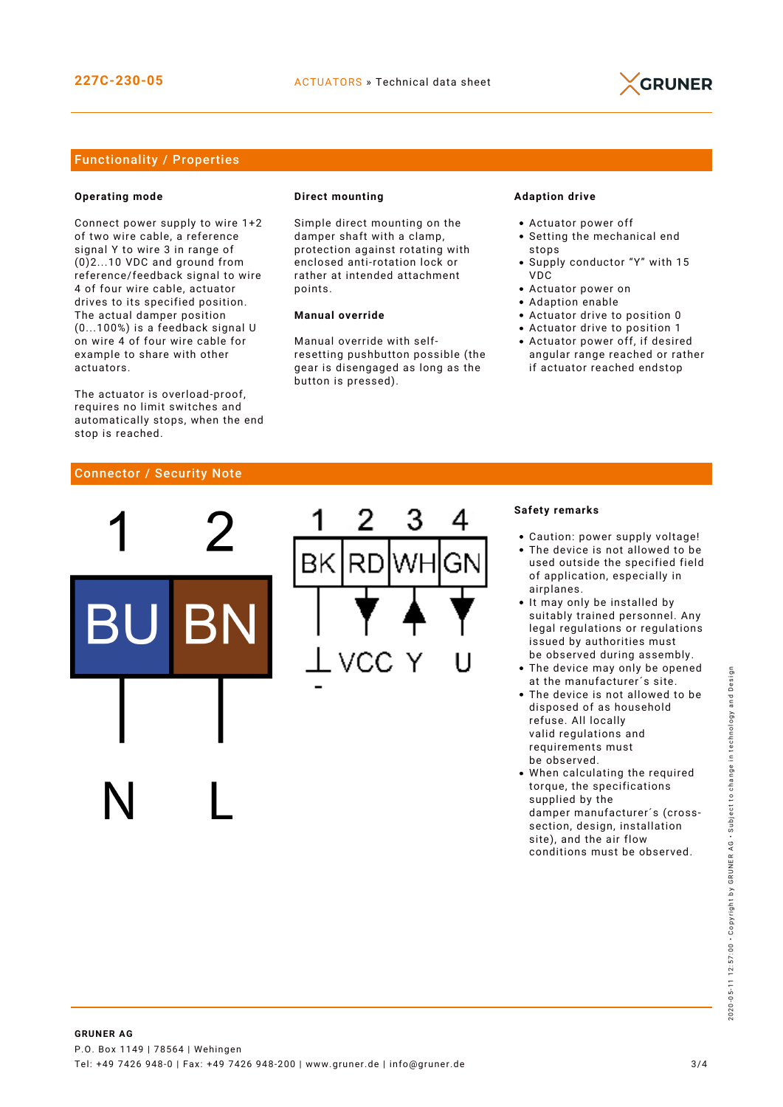

## Functionality / Properties

#### **Operating mode**

Connect power supply to wire 1+2 of two wire cable, a reference signal Y to wire 3 in range of (0)2...10 VDC and ground from reference/feedback signal to wire 4 of four wire cable, actuator drives to its specified position. The actual damper position (0...100%) is a feedback signal U on wire 4 of four wire cable for example to share with other actuators.

The actuator is overload-proof, requires no limit switches and automatically stops, when the end stop is reached.

#### **Direct mounting**

Simple direct mounting on the damper shaft with a clamp, protection against rotating with enclosed anti-rotation lock or rather at intended attachment points.

#### **Manual override**

Manual override with selfresetting pushbutton possible (the gear is disengaged as long as the button is pressed).

#### **Adaption drive**

- Actuator power off
- Setting the mechanical end stops
- Supply conductor "Y" with 15 VDC
- Actuator power on
- Adaption enable
- Actuator drive to position 0
- Actuator drive to position 1
- Actuator power off, if desired angular range reached or rather if actuator reached endstop

#### Connector / Security Note



#### **Safety remarks**

- Caution: power supply voltage!
- The device is not allowed to be used outside the specified field of application, especially in airplanes.
- It may only be installed by suitably trained personnel. Any legal regulations or regulations issued by authorities must be observed during assembly.
- The device may only be opened at the manufacturer´s site.
- The device is not allowed to be disposed of as household refuse. All locally valid regulations and requirements must be observed.
- When calculating the required torque, the specifications supplied by the damper manufacturer´s (crosssection, design, installation site), and the air flow conditions must be observed.